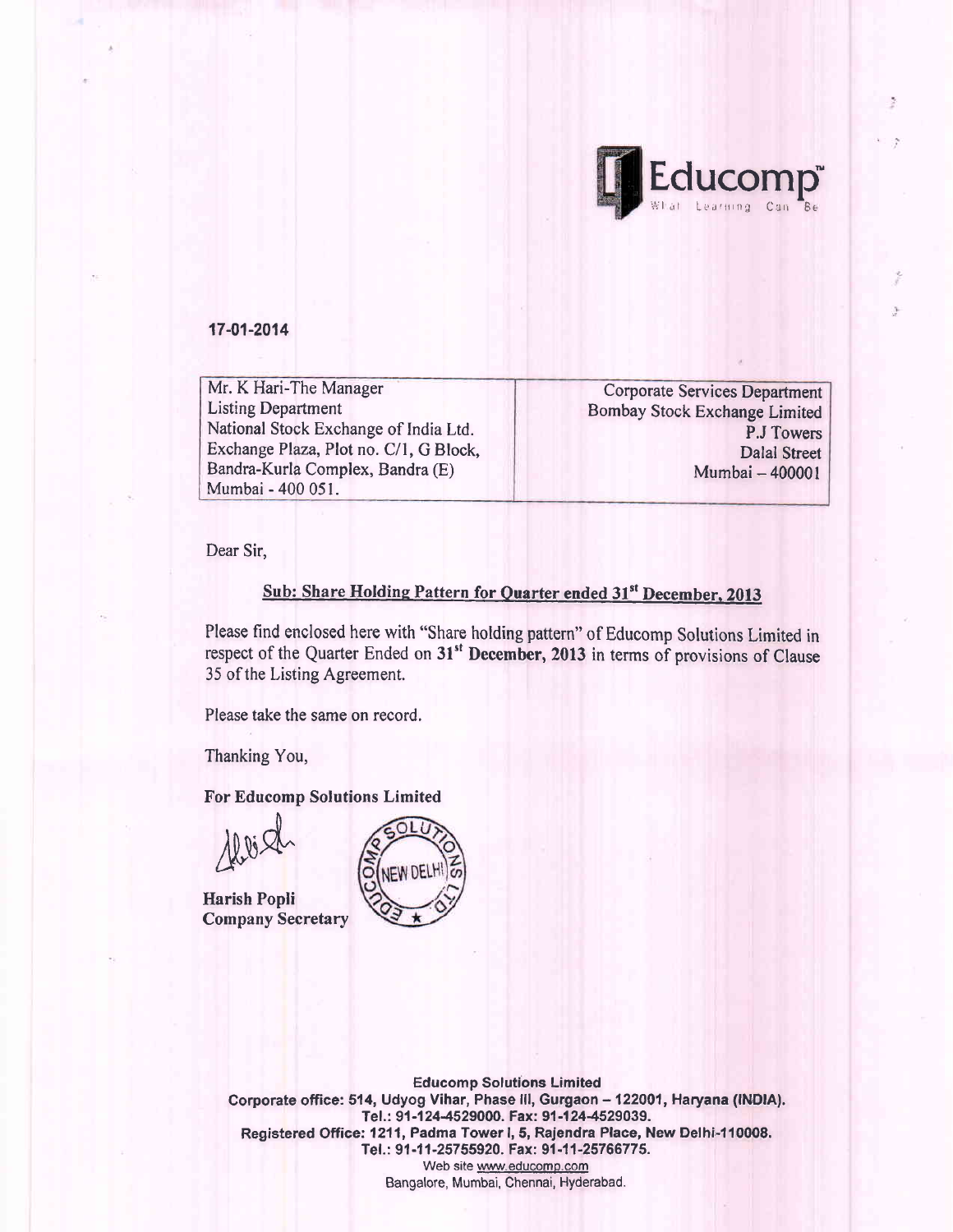

17-01-2014

Mr. K Hari-The Manager Listing Department National Stock Exchange of India Ltd. Exchange Plaza, Plot no. C/1, G Block, Bandra-Kurla Complex, Bandra (E) Mumbai - 400 051.

Corporate Services Department Bombay Stock Exchange Limited P.J Towers Dalal Street Mumbai - 400001

Dear Sir,

## Sub: Share Holding Pattern for Quarter ended 31st December, 2013

Please find enclosed here with "Share holding pattern" of Educomp Solutions Limited in respect of the Quarter Ended on 31<sup>st</sup> December, 2013 in terms of provisions of Clause 35 of the Listing Agreement.

Please take the same on record.

Thanking You,

For Educomp Solutions Limited

 $\mathcal{A}\mathcal{B}$ 

Harish Popli Company Secretary



Educomp Solutions Limited Corporate office: 514, Udyog Vihar, Phase III, Gurgaon - 122001, Haryana (INDIA). Tel.: 91-124-4529000. Fax: 91-124-4529039. Registered Office: 1211, Padma Tower I, 5, Rajendra Place, New Delhi-110008. Tel.: 91-11-25755920. Fax: 91-11-25766775. Web site www.educomp.com Bangalore, Mumbai, Chennai, Hyderabad.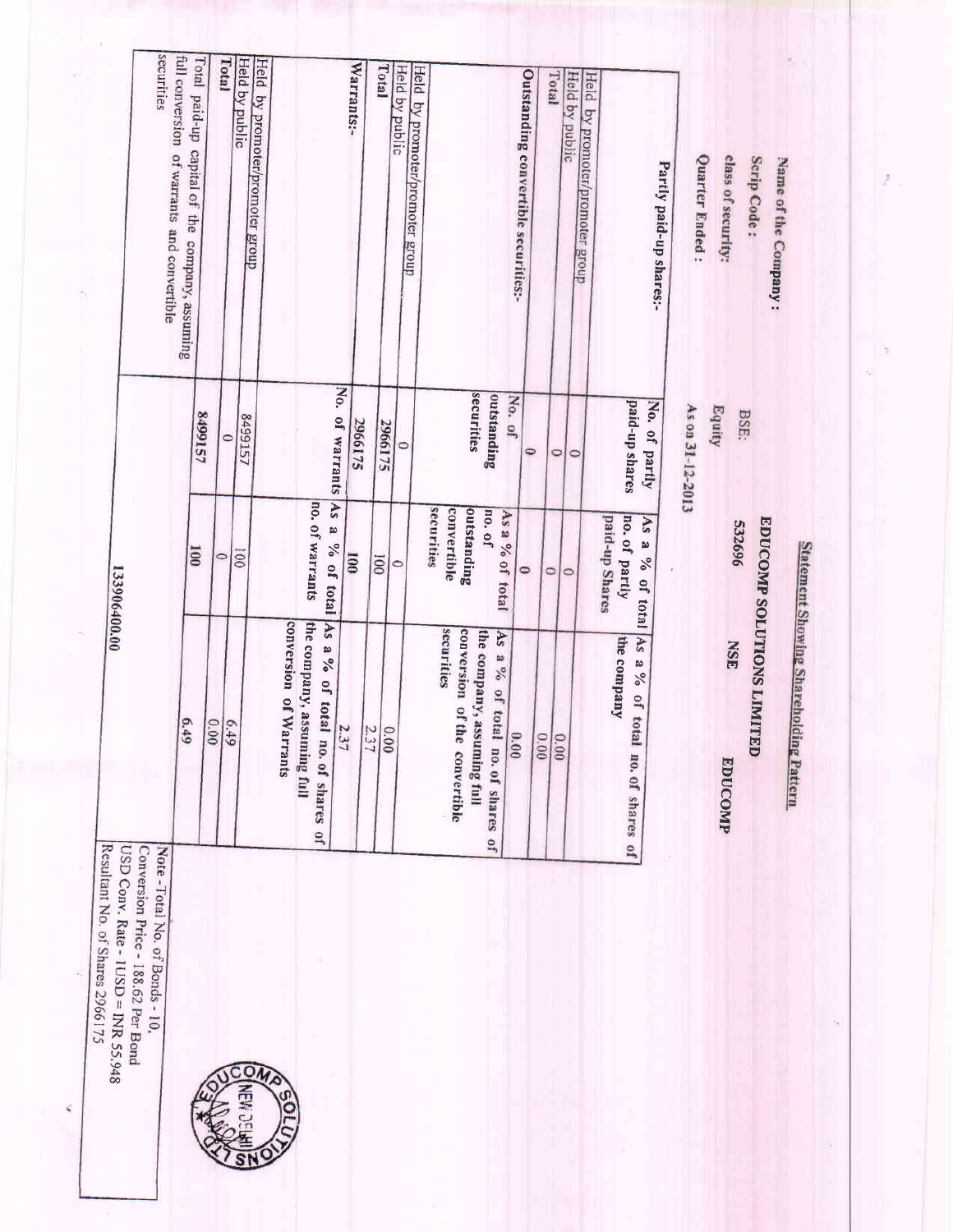| Resultant No. of Shares 2966175 | USD Conv. Rate - 1USD = INR 55.948 | Conversion Price - 188.62 Per Bond | Note - Total No. of Bonds - 10 |
|---------------------------------|------------------------------------|------------------------------------|--------------------------------|

 $\tilde{g}$ 



| 133906400.00    | securities<br>full conversion of warrants and convertible | Total paid-up capital of the company, assuming<br>6.49 | 8499157<br>100 | Total<br>$\circ$<br>0.000 | Held by public<br>8499157<br>001<br>679 | Held by promoter/promoter group | conversion of Warrants | no. of warrants                                                | No. of warrants<br><b>As</b><br>ø<br>% of total | Warrants:-<br>2966175<br>$\overline{001}$<br>2.3 | Total<br>2966175<br><b>OO</b> | Held by public<br>$\circ$<br>0 | Held by promoter/promoter group<br>securities | convertible<br>securities | securities<br>outstanding<br>conversion of the | outstanding<br>no. of<br>As a % of total<br>As<br>a % of total | Outstanding convertible securities:-<br>No. of<br>$\Theta$ | 0    | Total<br>$\circ$<br>$\circ$ | Held by public<br>Held by promoter/promoter group<br>$\circ$<br>$\circ$ | paid-up shares<br>No. of partly<br>no. of partly<br>paid-up Shares<br>As<br>a<br>% of total $As$ a %<br>the company<br>of total | Partly paid-up shares;-<br>As on 31-12-2013 | class of security:<br>Quarter Ended:<br>Equity |
|-----------------|-----------------------------------------------------------|--------------------------------------------------------|----------------|---------------------------|-----------------------------------------|---------------------------------|------------------------|----------------------------------------------------------------|-------------------------------------------------|--------------------------------------------------|-------------------------------|--------------------------------|-----------------------------------------------|---------------------------|------------------------------------------------|----------------------------------------------------------------|------------------------------------------------------------|------|-----------------------------|-------------------------------------------------------------------------|---------------------------------------------------------------------------------------------------------------------------------|---------------------------------------------|------------------------------------------------|
| ă<br>Nor<br>USI |                                                           |                                                        |                |                           |                                         |                                 |                        | the company, assuming full<br>As a % of total no. of shares of | 2.37                                            |                                                  | 0.00                          |                                |                                               |                           | the company, assuming full<br>convertible      | no. of shares of                                               | 60                                                         | 0.00 | 0.00                        |                                                                         | no. of shares of                                                                                                                |                                             | EDUCOMP                                        |

Scrip Code:

BSE:

**EDUCOMP SOLUTIONS LIMITED** 

Statement Showing Shareholding Pattern

Name of the Company:

Ż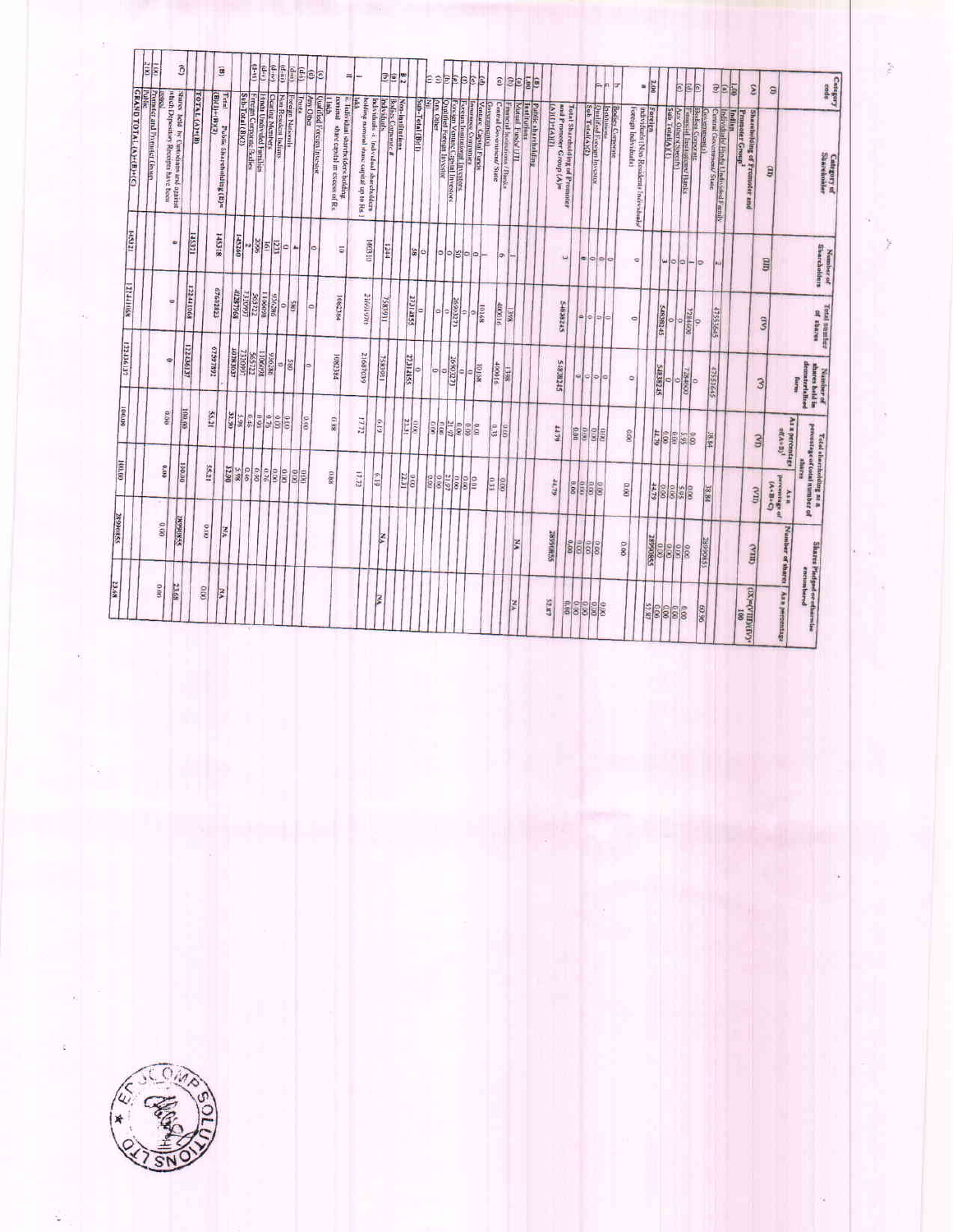|                   |                                          | 28990855                              | 100.00                                                             | <b>DOARD</b>                             | 122436137                                  | <b>MONETEE</b>             | 145321                                  |                                                                                                                                                                                                                                                                                                                                                                                                                                                                                                                                                                                     |               |                                                     |
|-------------------|------------------------------------------|---------------------------------------|--------------------------------------------------------------------|------------------------------------------|--------------------------------------------|----------------------------|-----------------------------------------|-------------------------------------------------------------------------------------------------------------------------------------------------------------------------------------------------------------------------------------------------------------------------------------------------------------------------------------------------------------------------------------------------------------------------------------------------------------------------------------------------------------------------------------------------------------------------------------|---------------|-----------------------------------------------------|
|                   |                                          |                                       |                                                                    |                                          |                                            |                            |                                         | Poemics and Promiser Group<br>Public<br>GRAND TOTAL (A)+(B)+(C)                                                                                                                                                                                                                                                                                                                                                                                                                                                                                                                     |               | $\frac{1}{8}$                                       |
| 0.00              | 0.00                                     |                                       | 0.00                                                               | 90'0                                     | ۰                                          | $\circ$                    | $\circ$                                 | which Deposition Receipts have been                                                                                                                                                                                                                                                                                                                                                                                                                                                                                                                                                 | <b>Panzi</b>  |                                                     |
| 23.68             | <b>28990855</b>                          |                                       | 100.00                                                             | 06/06/                                   | 122436137                                  | <b>12244068</b>            | <b>IZGSF</b>                            | Shares held by Cuntodiates and against                                                                                                                                                                                                                                                                                                                                                                                                                                                                                                                                              |               | ô                                                   |
| 0.00              | $\alpha$                                 |                                       | 55,21                                                              | 55,21                                    |                                            |                            |                                         | <b>TOTAL (A)+(B)</b>                                                                                                                                                                                                                                                                                                                                                                                                                                                                                                                                                                |               |                                                     |
| ķ                 | YN                                       |                                       |                                                                    |                                          | 67597892                                   | 67602823                   | 145318                                  | (1)(1)+(1)(2)<br>Public Shareholding (B)=                                                                                                                                                                                                                                                                                                                                                                                                                                                                                                                                           | Tetal         | û                                                   |
|                   |                                          |                                       | 888888                                                             | 32.90<br>3.98                            | HURMSON                                    | 89648208<br><b>LGAGEE</b>  | 145260                                  |                                                                                                                                                                                                                                                                                                                                                                                                                                                                                                                                                                                     |               |                                                     |
|                   |                                          |                                       |                                                                    | 0.90                                     |                                            | 1106/1222                  |                                         |                                                                                                                                                                                                                                                                                                                                                                                                                                                                                                                                                                                     |               | $(d+1)$                                             |
|                   |                                          |                                       |                                                                    | $rac{970}{270}$                          | $\frac{1660711}{711595}$                   | 936286                     | -홍화함이                                   |                                                                                                                                                                                                                                                                                                                                                                                                                                                                                                                                                                                     |               | $\left(\frac{d}{2} + \frac{d}{2}\right)$<br>$(d-s)$ |
|                   |                                          |                                       | $\frac{1}{2}$                                                      |                                          | 58                                         | ¢                          |                                         |                                                                                                                                                                                                                                                                                                                                                                                                                                                                                                                                                                                     |               | $(\mathbf{d},\mathbf{m})$                           |
|                   |                                          |                                       | 88                                                                 | 0.09                                     |                                            | š,                         | 44                                      |                                                                                                                                                                                                                                                                                                                                                                                                                                                                                                                                                                                     | <b>Enuts</b>  | (9.9)                                               |
|                   |                                          |                                       |                                                                    | 0.00                                     | łФ                                         | $\circ$                    |                                         | <b>Any Other</b>                                                                                                                                                                                                                                                                                                                                                                                                                                                                                                                                                                    |               | $\left(\frac{d-1}{2}\right)$                        |
|                   |                                          |                                       |                                                                    |                                          |                                            |                            | l0                                      | Qualified Foreign Investor                                                                                                                                                                                                                                                                                                                                                                                                                                                                                                                                                          |               | ec                                                  |
|                   |                                          |                                       | 880                                                                | 8871                                     | 1082384                                    | 1082384                    | $\overline{a}$                          | nominal whire capital in excess of Rs<br>ii. Individual sharcheilders bolding<br><u>E</u>                                                                                                                                                                                                                                                                                                                                                                                                                                                                                           |               |                                                     |
|                   |                                          |                                       | 17.72                                                              | 17.72                                    | 21687039                                   | 21601976                   | DIEDPI                                  | bolding nummal share carpital up to Rs.1                                                                                                                                                                                                                                                                                                                                                                                                                                                                                                                                            | linton        | $\equiv$                                            |
| ē                 | ₹                                        |                                       | GE-19                                                              | 61.0                                     | <b>TSR3931</b>                             | 7583931                    | <b>ETT</b>                              | Non-institution<br>Bedies Correctes<br>Individuals<br>Individuals -i Individual shareholders                                                                                                                                                                                                                                                                                                                                                                                                                                                                                        |               | e                                                   |
|                   |                                          |                                       |                                                                    |                                          |                                            |                            |                                         |                                                                                                                                                                                                                                                                                                                                                                                                                                                                                                                                                                                     |               | $\frac{1}{2}$<br>愃                                  |
|                   |                                          |                                       | $rac{1}{221}$                                                      | <b>PETE</b><br>$\frac{1}{2}$             | 27.314855                                  | 27314855<br>l a            | 2                                       | Sub-Total (B)(1)                                                                                                                                                                                                                                                                                                                                                                                                                                                                                                                                                                    |               |                                                     |
|                   |                                          | <b>SON</b>                            |                                                                    |                                          |                                            |                            | ٥j                                      |                                                                                                                                                                                                                                                                                                                                                                                                                                                                                                                                                                                     | E             |                                                     |
|                   |                                          |                                       |                                                                    |                                          | Þ<br>$\overline{a}$                        | l ci                       |                                         |                                                                                                                                                                                                                                                                                                                                                                                                                                                                                                                                                                                     |               |                                                     |
|                   |                                          | 88882                                 |                                                                    |                                          | 2699327                                    | $\frac{6}{\sqrt{1280881}}$ | $\circ$ $\circ$ $\circ$ $\circ$ $\circ$ | $\begin{array}{ l } \hline \text{Conformment (i)}\\ \hline \text{in terms of, frequency} \\ \hline \text{for some } \zeta \text{ functions in } \Omega \text{ using } \mathbb{R}^n\\ \hline \text{for some } \zeta \text{ functions in } \Omega \text{ using } \mathbb{R}^n\\ \hline \text{for some } \zeta \text{ functions in } \Omega \text{ is real } \Omega \text{ for } \zeta \text{ as } \zeta \text{ and } \zeta \text{ for } \zeta \text{ and } \zeta \text{ for } \zeta \text{ and } \zeta \text{ for } \zeta \text{ for } \zeta \text{ for } \zeta \text{ for } \zeta \$ | <b>SEEBE</b>  |                                                     |
|                   |                                          |                                       |                                                                    | 0.90                                     | $rac{1}{9000}$<br>۵                        | ۰                          |                                         |                                                                                                                                                                                                                                                                                                                                                                                                                                                                                                                                                                                     |               |                                                     |
|                   |                                          |                                       |                                                                    | to o                                     |                                            | 10168                      |                                         |                                                                                                                                                                                                                                                                                                                                                                                                                                                                                                                                                                                     | E             |                                                     |
|                   |                                          | E                                     |                                                                    | 6.33                                     | 400016                                     | 400016                     | Įø.                                     | Central Government/State                                                                                                                                                                                                                                                                                                                                                                                                                                                                                                                                                            | $\widehat{c}$ |                                                     |
| XX.               |                                          | 8                                     |                                                                    | 0.00                                     | SKET                                       | koll                       |                                         | Financial Institutions / Banks                                                                                                                                                                                                                                                                                                                                                                                                                                                                                                                                                      |               |                                                     |
|                   | š                                        |                                       |                                                                    |                                          |                                            |                            |                                         | Institution<br>Motal Fundy UTI                                                                                                                                                                                                                                                                                                                                                                                                                                                                                                                                                      | $e_{E}$       |                                                     |
|                   |                                          |                                       |                                                                    |                                          |                                            |                            |                                         | <b>Public shareholding</b>                                                                                                                                                                                                                                                                                                                                                                                                                                                                                                                                                          | (B)           |                                                     |
| <b>LRTS</b>       | 28990885                                 | 62.72                                 |                                                                    | 44.79                                    | <b>STIRCATS</b>                            | 54838245                   |                                         | <b>GRAD+(1)</b><br>and Promoter Group (A)=                                                                                                                                                                                                                                                                                                                                                                                                                                                                                                                                          |               |                                                     |
| 38888             | 0.00                                     |                                       |                                                                    |                                          |                                            |                            | ی                                       | <b>Total Shareholding of Promoter</b>                                                                                                                                                                                                                                                                                                                                                                                                                                                                                                                                               |               |                                                     |
|                   | $\frac{1}{8}$                            | 88888                                 |                                                                    | $rac{1}{\sin \theta}$                    | ö.                                         | a 0                        | 常                                       |                                                                                                                                                                                                                                                                                                                                                                                                                                                                                                                                                                                     |               |                                                     |
|                   | $rac{80}{800}$                           |                                       |                                                                    | $\frac{1}{3}$                            | $= 0$                                      | $\Rightarrow$              | c.                                      | contribute en<br>  Qualificat Facesm Investor<br> Sub Tetal(A)(2)                                                                                                                                                                                                                                                                                                                                                                                                                                                                                                                   | ja.           |                                                     |
|                   |                                          |                                       |                                                                    |                                          |                                            | e                          | $\circ$                                 | Botises Compresse                                                                                                                                                                                                                                                                                                                                                                                                                                                                                                                                                                   | iz.           |                                                     |
|                   | 0.00                                     | 0.00                                  |                                                                    | coo                                      | $\circ$                                    | o                          | o.                                      | Individuals (Non-Resolutival Individuals<br>Foresgn Individuals)                                                                                                                                                                                                                                                                                                                                                                                                                                                                                                                    | $\approx$     |                                                     |
| 52.87<br>60.00    | 55806687                                 |                                       |                                                                    |                                          |                                            |                            |                                         | Ferriga                                                                                                                                                                                                                                                                                                                                                                                                                                                                                                                                                                             | 2.00          |                                                     |
| 888               |                                          | $rac{1}{6888}$                        |                                                                    |                                          | <b>STERETS</b>                             | <b>SFZBS345</b>            | <b>WID</b>                              |                                                                                                                                                                                                                                                                                                                                                                                                                                                                                                                                                                                     |               |                                                     |
|                   | 8888                                     | 168                                   |                                                                    | $rac{1}{8888888}$                        | 009187                                     | $\frac{6}{\sqrt{284600}}$  | $\frac{1}{2}$                           | Besites Corporate<br>Financial Euclinicano Banks<br>Any Oberst Severity<br>Sub Totaria (1)                                                                                                                                                                                                                                                                                                                                                                                                                                                                                          | 抢             |                                                     |
| 96.09             |                                          |                                       |                                                                    |                                          | ь                                          |                            | ö                                       |                                                                                                                                                                                                                                                                                                                                                                                                                                                                                                                                                                                     | 司司            |                                                     |
|                   | <b>SHOSORZ</b>                           | <b>PR 81</b>                          |                                                                    | 28.84                                    | SYYESEP                                    | 47553645                   |                                         | Indian<br>Individual v Hndy Undividual Family<br>Central Covertment/State<br>(kykemmerki s)                                                                                                                                                                                                                                                                                                                                                                                                                                                                                         | 이로            |                                                     |
|                   |                                          |                                       |                                                                    |                                          |                                            |                            |                                         | <b>Framoter Group</b>                                                                                                                                                                                                                                                                                                                                                                                                                                                                                                                                                               | 66.1          |                                                     |
| $\frac{001}{100}$ | COTTO                                    | (HV)                                  |                                                                    | GND                                      |                                            |                            |                                         | Shareholding of Promoter and                                                                                                                                                                                                                                                                                                                                                                                                                                                                                                                                                        | ε             |                                                     |
|                   |                                          |                                       |                                                                    |                                          | $\mathcal{S}$                              | $\mathbf{S}$               | Gili                                    | Э                                                                                                                                                                                                                                                                                                                                                                                                                                                                                                                                                                                   | S             |                                                     |
| As a percentage   | Number of shares                         | $\frac{(3+8+1)}{(4+8+1)}$<br>Asn<br>힟 |                                                                    | As a percentage<br>off.A+ap <sup>1</sup> | form                                       |                            |                                         |                                                                                                                                                                                                                                                                                                                                                                                                                                                                                                                                                                                     |               |                                                     |
|                   | Shares Piedged or otherwise<br>completed |                                       | Total shareholding as a<br>percentage of total number of<br>ahares |                                          | Number of $\frac{1}{n}$<br>that is held in | of thare                   |                                         |                                                                                                                                                                                                                                                                                                                                                                                                                                                                                                                                                                                     |               |                                                     |
|                   |                                          |                                       |                                                                    |                                          |                                            | Total mumber               | Number of<br>Sharcholders               | <b>Category of</b><br>Shareholder                                                                                                                                                                                                                                                                                                                                                                                                                                                                                                                                                   | Ludham        |                                                     |

 $\hat{\mathcal{L}}$ 

ž

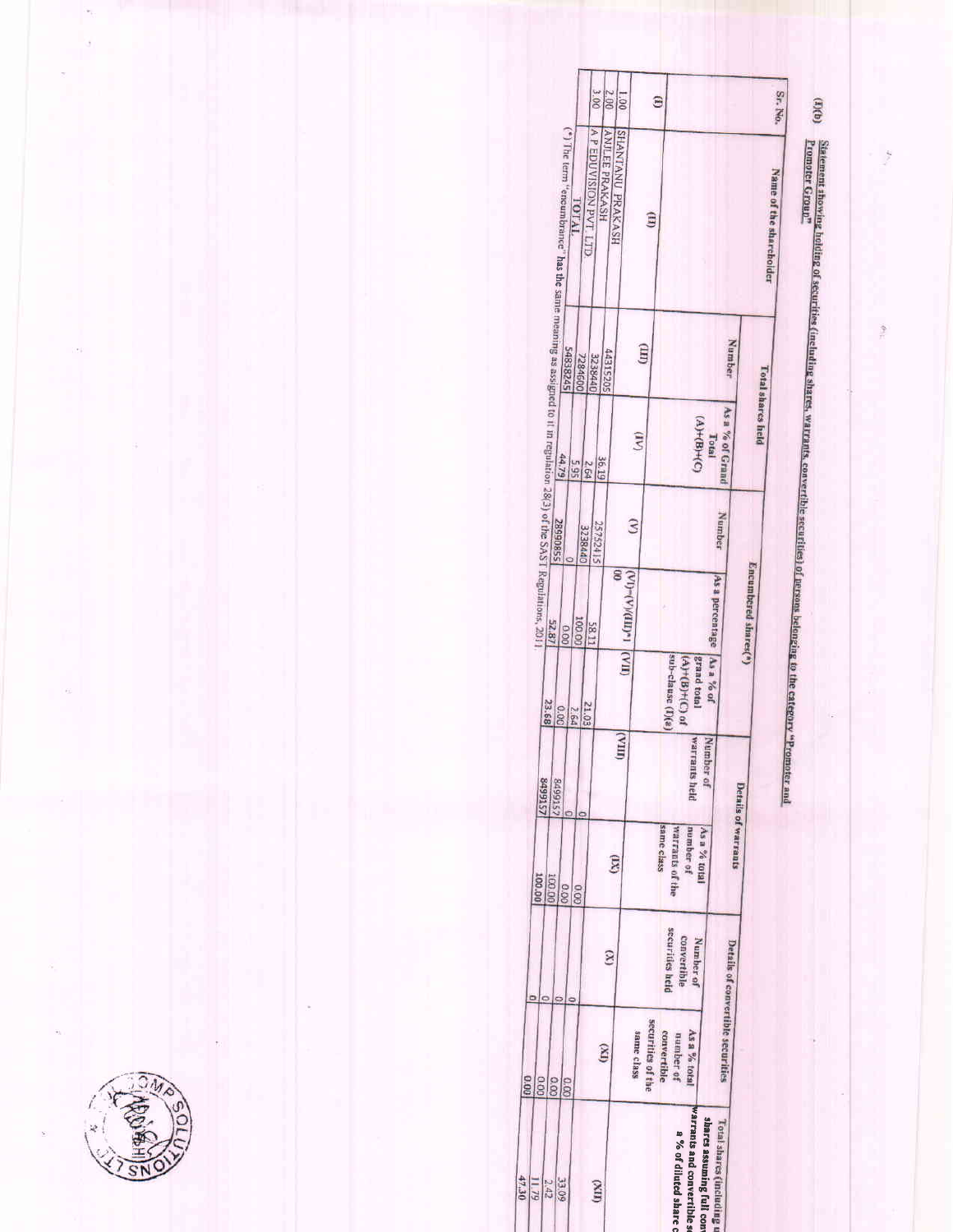ğ

 $\frac{3}{7}$ 

Sr. No.

(3)(b) <u>Rétement showing holding of securities (including shares, warrants, convertible securities) of persons belonging to the category "Promoter and<br>Promoter Group"</u>

| 3.000<br>2.00<br>001<br>$\hat{a}$                                                                                                                                                                             | Sr. No.                                     |
|---------------------------------------------------------------------------------------------------------------------------------------------------------------------------------------------------------------|---------------------------------------------|
| A PEDUVISION PVT LTD<br>SHANTANU PRAKASH<br>(*) The term "encumbrance" has the same meaning as assigned to it in regulation 28(3) of the SAST Regulations, 2011.<br>ANJLEE PRAKASH<br>TOTAL<br>$\overline{H}$ | Name of the shareholder                     |
| (TIII)<br>44315205<br>3238440<br>7284600                                                                                                                                                                      | <b>Number</b>                               |
| $(A)+(B)+(C)$<br>$\binom{1}{2}$<br>Total<br>36.19<br>565<br>2.64                                                                                                                                              | <b>Total shares held</b><br>As a % of Grand |
| $\hat{\mathbf{z}}$<br>25752415<br>3238440                                                                                                                                                                     | Number                                      |
| $\frac{1}{2}$<br>$(\text{V1})$ (VIII)(VIII)<br>As a percentage<br>100.00<br>58.11                                                                                                                             | Encumbered shares(*)                        |
| sub-clause (I)(a)<br>$A$ s a % of<br>$(A)+(B)+(C)$ of<br>grand total<br>23.68<br>21.03<br>00.00<br>2.64                                                                                                       |                                             |
| $\Box$<br>warrants held<br>Number of<br><b>ZST66b8</b><br><b>ST6678</b><br>ċ                                                                                                                                  |                                             |
| same class<br><b>Warrants of the</b><br>number of<br>As a % total<br>$\mathbf{m}$<br>100.00<br>100.00<br>00.0<br>0.00                                                                                         | Details of warrants                         |
| securities held<br>convertible<br>Number of<br>$\infty$                                                                                                                                                       |                                             |
| securities of the<br>same class<br>convertible<br>As a % total<br>number of<br>(X)<br>0.00<br>0.00<br>0.00<br>0.00                                                                                            | Details of convertible securities           |
| Warrants and convertible s<br>shares assuming full con-<br><b><i>Lotal shares (including u</i></b><br>a % of diluted share<br>47.30<br>11.79<br><b>60 EE</b><br>2.42<br>(IIX)                                 |                                             |

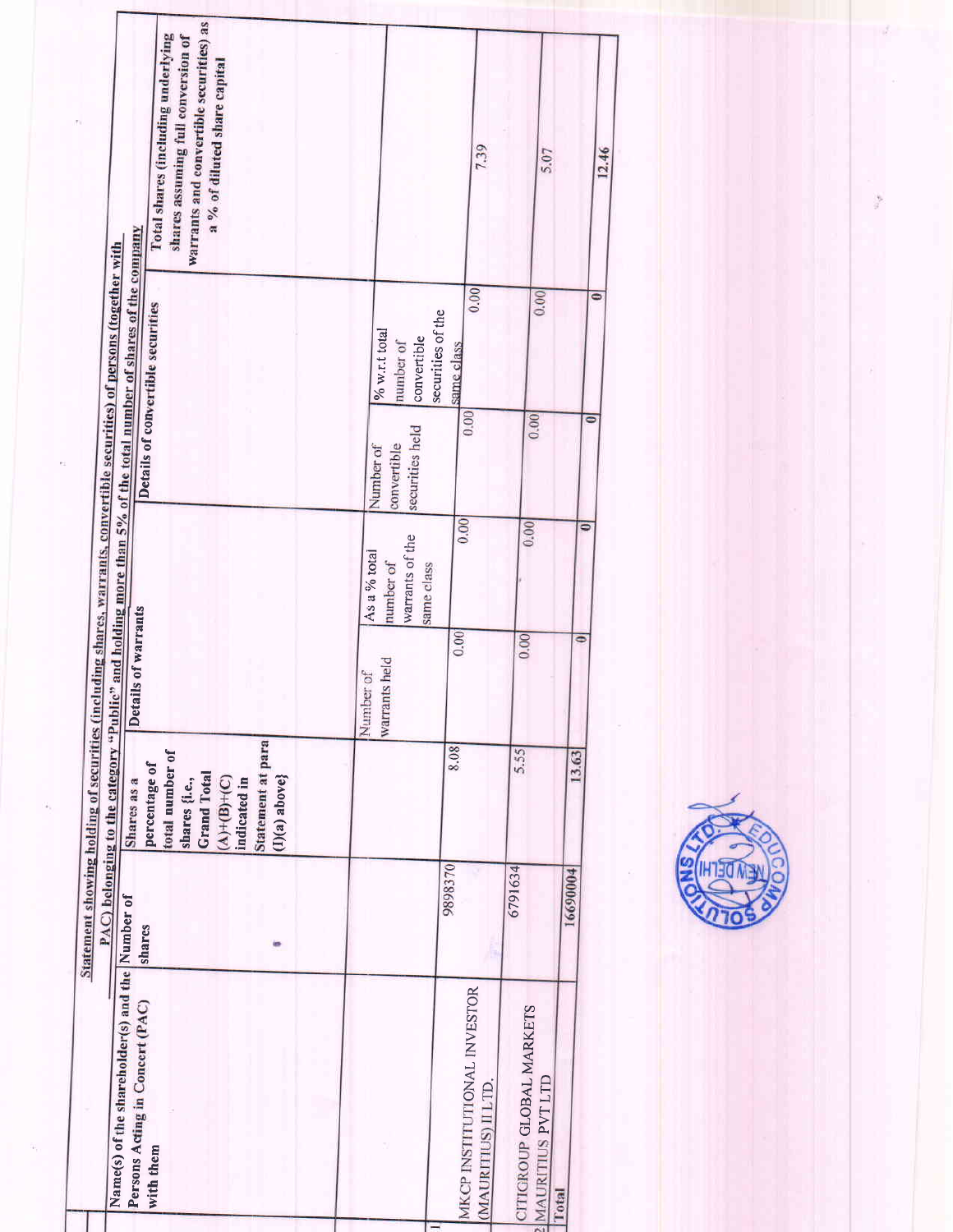|                                                                                                                        | warrants and convertible securities) as<br>Total shares (including underlying<br>shares assuming full conversion of<br>a % of diluted share capital |                                                            | 7.39                                              | 5.07                                                 | 12.46        |
|------------------------------------------------------------------------------------------------------------------------|-----------------------------------------------------------------------------------------------------------------------------------------------------|------------------------------------------------------------|---------------------------------------------------|------------------------------------------------------|--------------|
| Statement showing holding of securities (including shares, warrants, convertible securities) of persons (together with | PAC) belonging to the category "Public" and holding more than 5% of the total number of shares of the company<br>Details of convertible securities  | % w.r.t total<br>convertible<br>number of                  | 0.00<br>securities of the<br>same class           | 0.00                                                 | $\bullet$    |
|                                                                                                                        |                                                                                                                                                     | securities held<br>convertible<br>Number of                | 0.00                                              | 0.00                                                 | 0            |
|                                                                                                                        |                                                                                                                                                     | warrants of the<br>As a % total<br>number of<br>same class | 0.00                                              | 0.00                                                 | ۰            |
|                                                                                                                        | Details of warrants                                                                                                                                 | warrants held<br>Number of                                 | 0.00                                              | 0.00                                                 | Φ            |
|                                                                                                                        | Statement at para<br>total number of<br>percentage of<br><b>Grand Total</b><br>$(I)(a)$ above}<br>$(A)+(B)+(C)$<br>shares {i.e.,<br>indicated in    |                                                            | 8.08                                              | 5.55                                                 | 13.63        |
|                                                                                                                        | shares                                                                                                                                              |                                                            | 9898370                                           | 6791634                                              | 16690004     |
|                                                                                                                        | Name(s) of the shareholder(s) and the Number of<br>Persons Acting in Concert (PAC)<br>with them                                                     |                                                            | MKCP INSTITUTIONAL INVESTOR<br>(MAURITIUS) ILLTD. | <b>CITIGROUP GLOBAL MARKETS</b><br>MAURITIUS PVT LTD | <b>Total</b> |



 $\frac{1}{2}$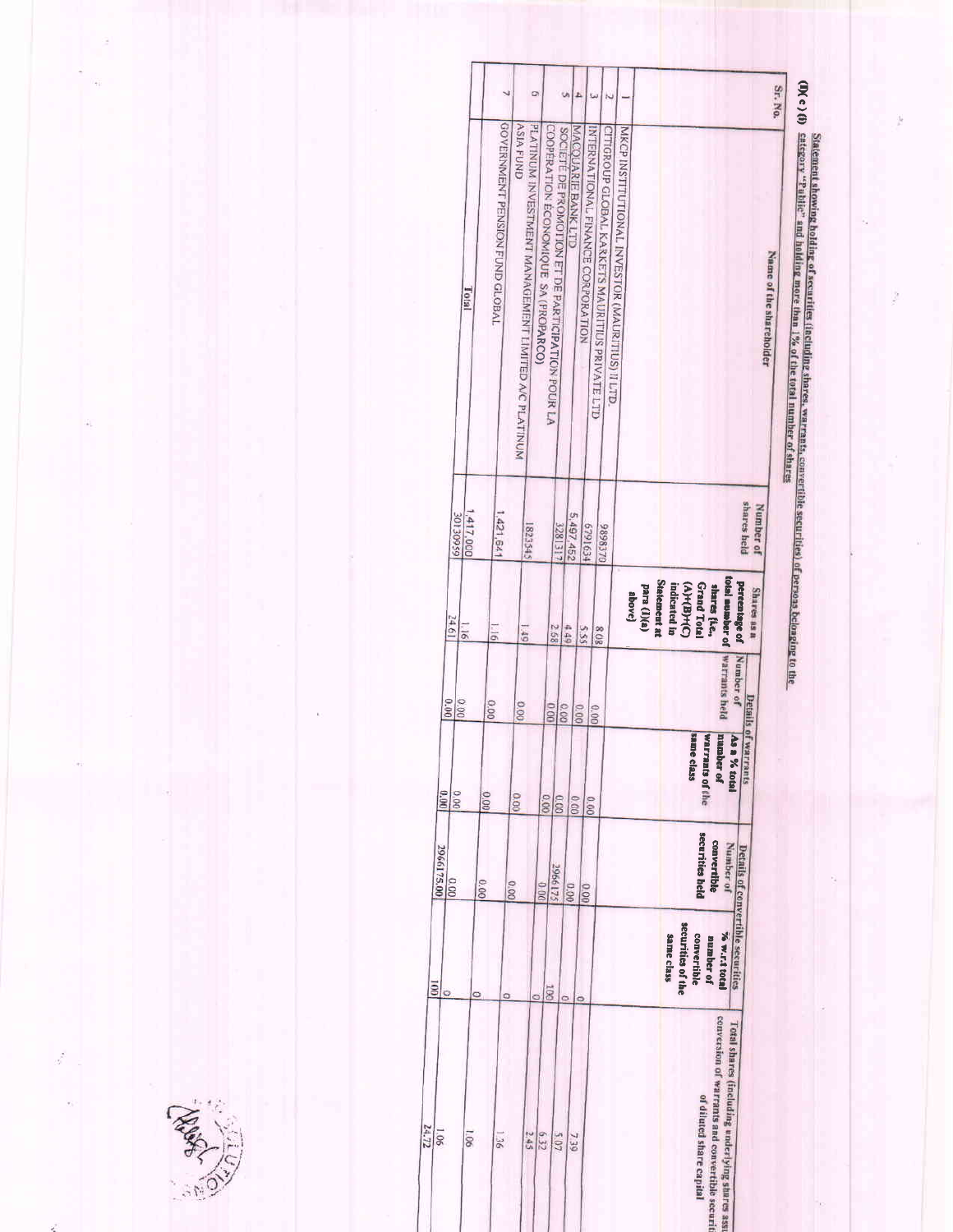| <b>Warrants held</b><br>Number of<br>0.00<br>0.00<br>0.00<br>0.00<br>0.00<br>same c<br>number of<br>class | Details of warrants<br>As a % total<br><b>Warrants of the</b><br>$rac{0.00}{0.00}$<br>0000<br>0.00<br>securities held<br>convertible<br>Number of<br>Details of convertible securities<br>2966175<br>0.00<br>0.00<br>00.0 |
|-----------------------------------------------------------------------------------------------------------|---------------------------------------------------------------------------------------------------------------------------------------------------------------------------------------------------------------------------|
|                                                                                                           | 0.00<br>0.00<br>0.00<br>00.00                                                                                                                                                                                             |

g

ż

**REAR REAR**